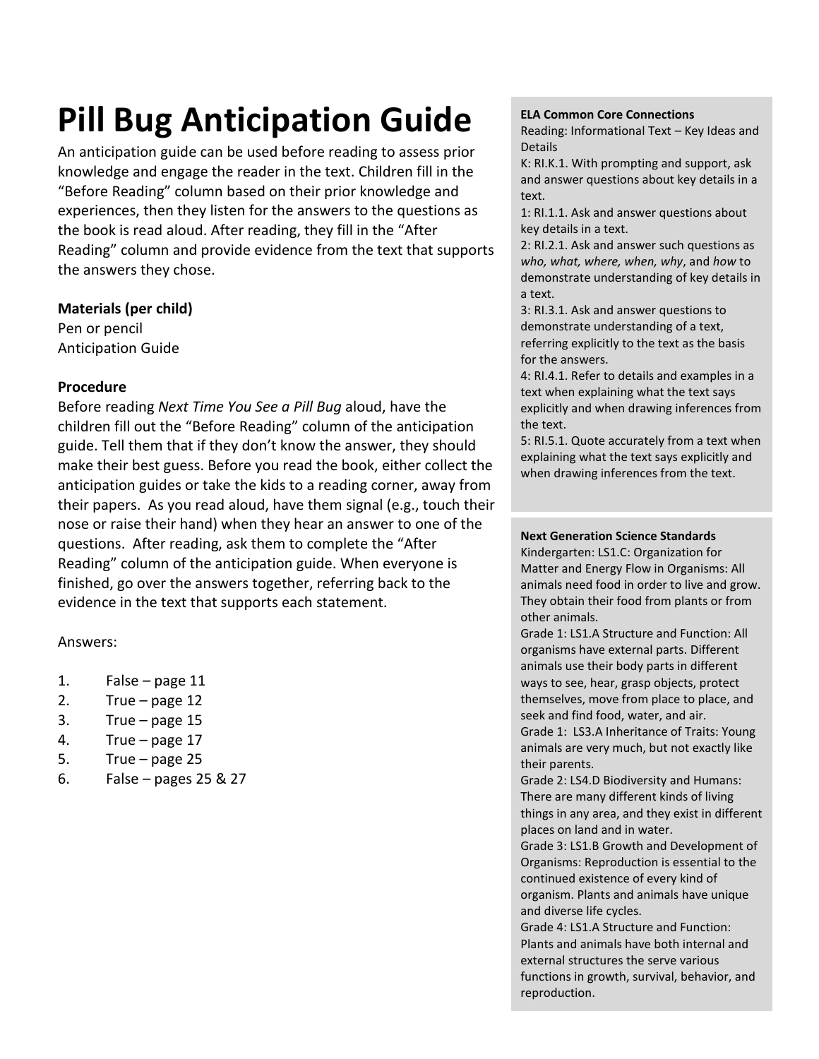## **Pill Bug Anticipation Guide**

An anticipation guide can be used before reading to assess prior knowledge and engage the reader in the text. Children fill in the "Before Reading" column based on their prior knowledge and experiences, then they listen for the answers to the questions as the book is read aloud. After reading, they fill in the "After Reading" column and provide evidence from the text that supports the answers they chose.

#### **Materials (per child)**

Pen or pencil Anticipation Guide

## **Procedure**

Before reading *Next Time You See a Pill Bug* aloud, have the children fill out the "Before Reading" column of the anticipation guide. Tell them that if they don't know the answer, they should make their best guess. Before you read the book, either collect the anticipation guides or take the kids to a reading corner, away from their papers. As you read aloud, have them signal (e.g., touch their nose or raise their hand) when they hear an answer to one of the questions. After reading, ask them to complete the "After Reading" column of the anticipation guide. When everyone is finished, go over the answers together, referring back to the evidence in the text that supports each statement.

## Answers:

- 1. False page 11
- 2. True page  $12$
- 3. True page 15
- 4. True page 17
- 5. True page 25
- 6. False pages 25 & 27

#### **ELA Common Core Connections**

Reading: Informational Text – Key Ideas and Details

K: RI.K.1. With prompting and support, ask and answer questions about key details in a text.

1: RI.1.1. Ask and answer questions about key details in a text.

2: RI.2.1. Ask and answer such questions as *who, what, where, when, why*, and *how* to demonstrate understanding of key details in a text.

3: RI.3.1. Ask and answer questions to demonstrate understanding of a text, referring explicitly to the text as the basis for the answers.

4: RI.4.1. Refer to details and examples in a text when explaining what the text says explicitly and when drawing inferences from the text.

5: RI.5.1. Quote accurately from a text when explaining what the text says explicitly and when drawing inferences from the text.

#### **Next Generation Science Standards**

Kindergarten: LS1.C: Organization for Matter and Energy Flow in Organisms: All animals need food in order to live and grow. They obtain their food from plants or from other animals.

Grade 1: LS1.A Structure and Function: All organisms have external parts. Different animals use their body parts in different ways to see, hear, grasp objects, protect themselves, move from place to place, and seek and find food, water, and air.

Grade 1: LS3.A Inheritance of Traits: Young animals are very much, but not exactly like their parents.

Grade 2: LS4.D Biodiversity and Humans: There are many different kinds of living things in any area, and they exist in different places on land and in water.

Grade 3: LS1.B Growth and Development of Organisms: Reproduction is essential to the continued existence of every kind of organism. Plants and animals have unique and diverse life cycles.

Grade 4: LS1.A Structure and Function: Plants and animals have both internal and external structures the serve various functions in growth, survival, behavior, and reproduction.